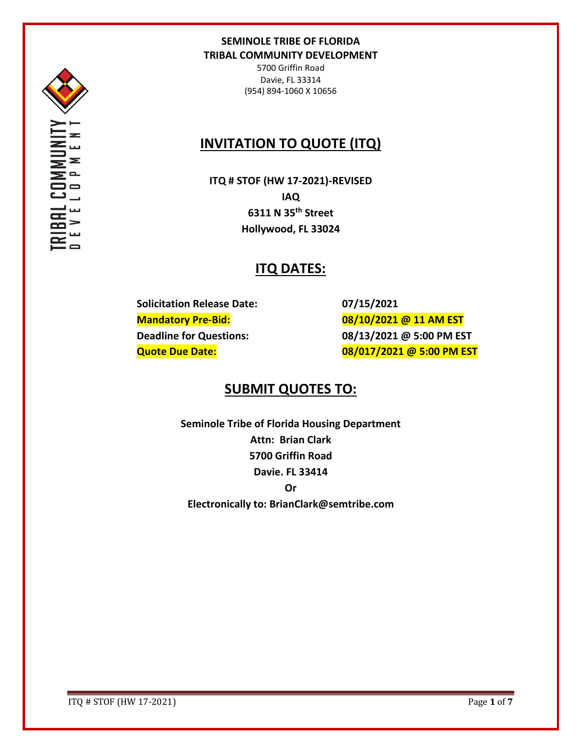

5700 Griffin Road Davie, FL 33314 (954) 894-1060 X 10656

# **INVITATION TO QUOTE (ITQ)**

**ITQ # STOF (HW 17-2021)-REVISED IAQ 6311 N 35th Street Hollywood, FL 33024**

## **ITQ DATES:**

**Solicitation Release Date: 07/15/2021**

**Mandatory Pre-Bid: 08/10/2021 @ 11 AM EST Deadline for Questions: 08/13/2021 @ 5:00 PM EST Quote Due Date: 08/017/2021 @ 5:00 PM EST**

## **SUBMIT QUOTES TO:**

**Seminole Tribe of Florida Housing Department Attn: Brian Clark 5700 Griffin Road Davie. FL 33414 Or Electronically to: BrianClark@semtribe.com** 

ITQ # STOF (HW 17-2021) Page **1** of **7**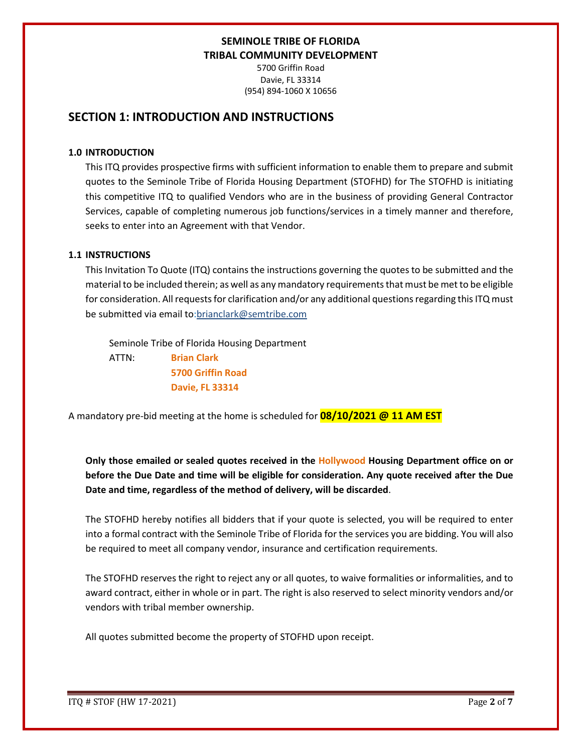5700 Griffin Road Davie, FL 33314 (954) 894-1060 X 10656

## **SECTION 1: INTRODUCTION AND INSTRUCTIONS**

#### **1.0 INTRODUCTION**

This ITQ provides prospective firms with sufficient information to enable them to prepare and submit quotes to the Seminole Tribe of Florida Housing Department (STOFHD) for The STOFHD is initiating this competitive ITQ to qualified Vendors who are in the business of providing General Contractor Services, capable of completing numerous job functions/services in a timely manner and therefore, seeks to enter into an Agreement with that Vendor.

### **1.1 INSTRUCTIONS**

This Invitation To Quote (ITQ) contains the instructions governing the quotes to be submitted and the material to be included therein; as well as any mandatory requirements that must be met to be eligible for consideration. All requests for clarification and/or any additional questions regarding this ITQ must be submitted via email to:brianclark@semtribe.com

Seminole Tribe of Florida Housing Department

 ATTN: **Brian Clark 5700 Griffin Road Davie, FL 33314**

A mandatory pre-bid meeting at the home is scheduled for **08/10/2021 @ 11 AM EST**

**Only those emailed or sealed quotes received in the Hollywood Housing Department office on or before the Due Date and time will be eligible for consideration. Any quote received after the Due Date and time, regardless of the method of delivery, will be discarded**.

The STOFHD hereby notifies all bidders that if your quote is selected, you will be required to enter into a formal contract with the Seminole Tribe of Florida for the services you are bidding. You will also be required to meet all company vendor, insurance and certification requirements.

The STOFHD reserves the right to reject any or all quotes, to waive formalities or informalities, and to award contract, either in whole or in part. The right is also reserved to select minority vendors and/or vendors with tribal member ownership.

All quotes submitted become the property of STOFHD upon receipt.

ITQ # STOF (HW 17-2021) Page **2** of **7**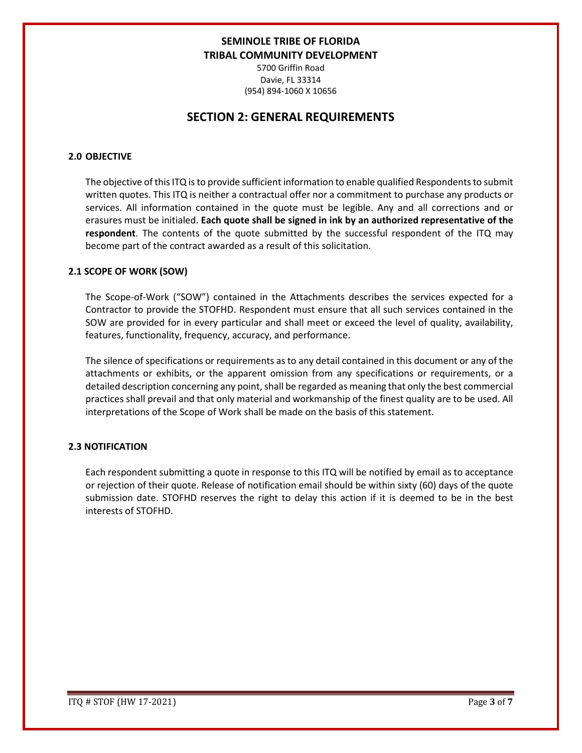5700 Griffin Road Davie, FL 33314 (954) 894-1060 X 10656

## **SECTION 2: GENERAL REQUIREMENTS**

#### **2.0 OBJECTIVE**

The objective of this ITQ is to provide sufficient information to enable qualified Respondents to submit written quotes. This ITQ is neither a contractual offer nor a commitment to purchase any products or services. All information contained in the quote must be legible. Any and all corrections and or erasures must be initialed. **Each quote shall be signed in ink by an authorized representative of the respondent**. The contents of the quote submitted by the successful respondent of the ITQ may become part of the contract awarded as a result of this solicitation.

#### **2.1 SCOPE OF WORK (SOW)**

The Scope-of-Work ("SOW") contained in the Attachments describes the services expected for a Contractor to provide the STOFHD. Respondent must ensure that all such services contained in the SOW are provided for in every particular and shall meet or exceed the level of quality, availability, features, functionality, frequency, accuracy, and performance.

The silence of specifications or requirements as to any detail contained in this document or any of the attachments or exhibits, or the apparent omission from any specifications or requirements, or a detailed description concerning any point, shall be regarded as meaning that only the best commercial practices shall prevail and that only material and workmanship of the finest quality are to be used. All interpretations of the Scope of Work shall be made on the basis of this statement.

#### **2.3 NOTIFICATION**

Each respondent submitting a quote in response to this ITQ will be notified by email as to acceptance or rejection of their quote. Release of notification email should be within sixty (60) days of the quote submission date. STOFHD reserves the right to delay this action if it is deemed to be in the best interests of STOFHD.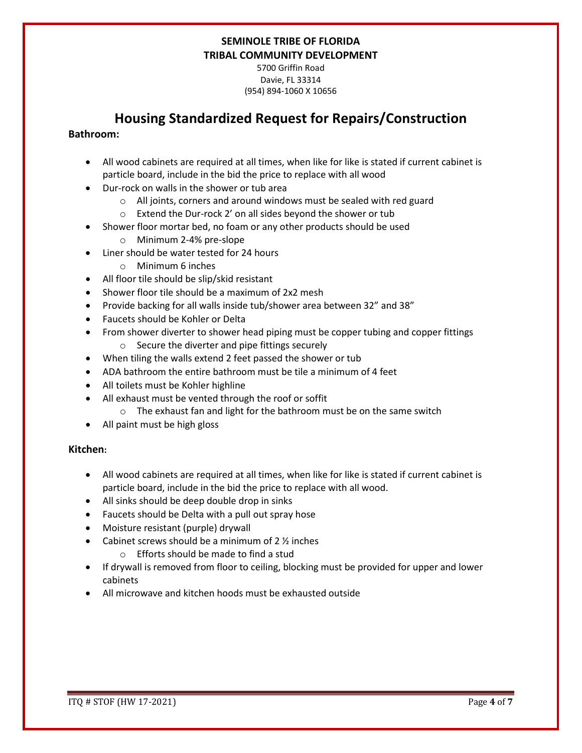5700 Griffin Road Davie, FL 33314 (954) 894-1060 X 10656

# **Housing Standardized Request for Repairs/Construction**

### **Bathroom:**

- All wood cabinets are required at all times, when like for like is stated if current cabinet is particle board, include in the bid the price to replace with all wood
- Dur-rock on walls in the shower or tub area
	- o All joints, corners and around windows must be sealed with red guard
	- o Extend the Dur-rock 2' on all sides beyond the shower or tub
- Shower floor mortar bed, no foam or any other products should be used
	- o Minimum 2-4% pre-slope
- Liner should be water tested for 24 hours
	- o Minimum 6 inches
- All floor tile should be slip/skid resistant
- Shower floor tile should be a maximum of 2x2 mesh
- Provide backing for all walls inside tub/shower area between 32" and 38"
- Faucets should be Kohler or Delta
- From shower diverter to shower head piping must be copper tubing and copper fittings o Secure the diverter and pipe fittings securely
- When tiling the walls extend 2 feet passed the shower or tub
- ADA bathroom the entire bathroom must be tile a minimum of 4 feet
- All toilets must be Kohler highline
- All exhaust must be vented through the roof or soffit
	- o The exhaust fan and light for the bathroom must be on the same switch
- All paint must be high gloss

### **Kitchen:**

- All wood cabinets are required at all times, when like for like is stated if current cabinet is particle board, include in the bid the price to replace with all wood.
- All sinks should be deep double drop in sinks
- Faucets should be Delta with a pull out spray hose
- Moisture resistant (purple) drywall
- Cabinet screws should be a minimum of  $2\frac{1}{2}$  inches
	- o Efforts should be made to find a stud
- If drywall is removed from floor to ceiling, blocking must be provided for upper and lower cabinets
- All microwave and kitchen hoods must be exhausted outside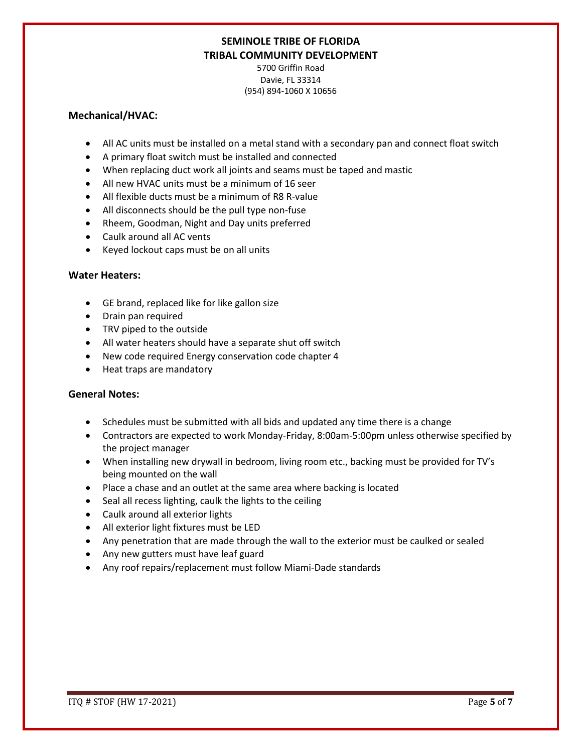5700 Griffin Road Davie, FL 33314 (954) 894-1060 X 10656

### **Mechanical/HVAC:**

- All AC units must be installed on a metal stand with a secondary pan and connect float switch
- A primary float switch must be installed and connected
- When replacing duct work all joints and seams must be taped and mastic
- All new HVAC units must be a minimum of 16 seer
- All flexible ducts must be a minimum of R8 R-value
- All disconnects should be the pull type non-fuse
- Rheem, Goodman, Night and Day units preferred
- Caulk around all AC vents
- Keyed lockout caps must be on all units

### **Water Heaters:**

- GE brand, replaced like for like gallon size
- Drain pan required
- TRV piped to the outside
- All water heaters should have a separate shut off switch
- New code required Energy conservation code chapter 4
- Heat traps are mandatory

### **General Notes:**

- Schedules must be submitted with all bids and updated any time there is a change
- Contractors are expected to work Monday-Friday, 8:00am-5:00pm unless otherwise specified by the project manager
- When installing new drywall in bedroom, living room etc., backing must be provided for TV's being mounted on the wall
- Place a chase and an outlet at the same area where backing is located
- Seal all recess lighting, caulk the lights to the ceiling
- Caulk around all exterior lights
- All exterior light fixtures must be LED
- Any penetration that are made through the wall to the exterior must be caulked or sealed
- Any new gutters must have leaf guard
- Any roof repairs/replacement must follow Miami-Dade standards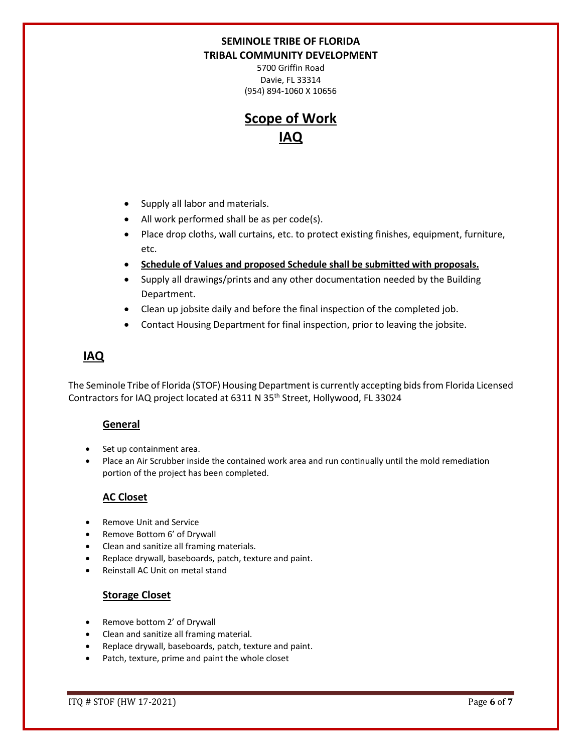5700 Griffin Road Davie, FL 33314 (954) 894-1060 X 10656

# **Scope of Work IAQ**

- Supply all labor and materials.
- All work performed shall be as per code(s).
- Place drop cloths, wall curtains, etc. to protect existing finishes, equipment, furniture, etc.
- **Schedule of Values and proposed Schedule shall be submitted with proposals.**
- Supply all drawings/prints and any other documentation needed by the Building Department.
- Clean up jobsite daily and before the final inspection of the completed job.
- Contact Housing Department for final inspection, prior to leaving the jobsite.

## **IAQ**

The Seminole Tribe of Florida (STOF) Housing Department is currently accepting bids from Florida Licensed Contractors for IAQ project located at 6311 N 35th Street, Hollywood, FL 33024

## **General**

- Set up containment area.
- Place an Air Scrubber inside the contained work area and run continually until the mold remediation portion of the project has been completed.

## **AC Closet**

- Remove Unit and Service
- Remove Bottom 6' of Drywall
- Clean and sanitize all framing materials.
- Replace drywall, baseboards, patch, texture and paint.
- Reinstall AC Unit on metal stand

## **Storage Closet**

- Remove bottom 2' of Drywall
- Clean and sanitize all framing material.
- Replace drywall, baseboards, patch, texture and paint.
- Patch, texture, prime and paint the whole closet

ITQ # STOF (HW 17-2021) Page **6** of **7**